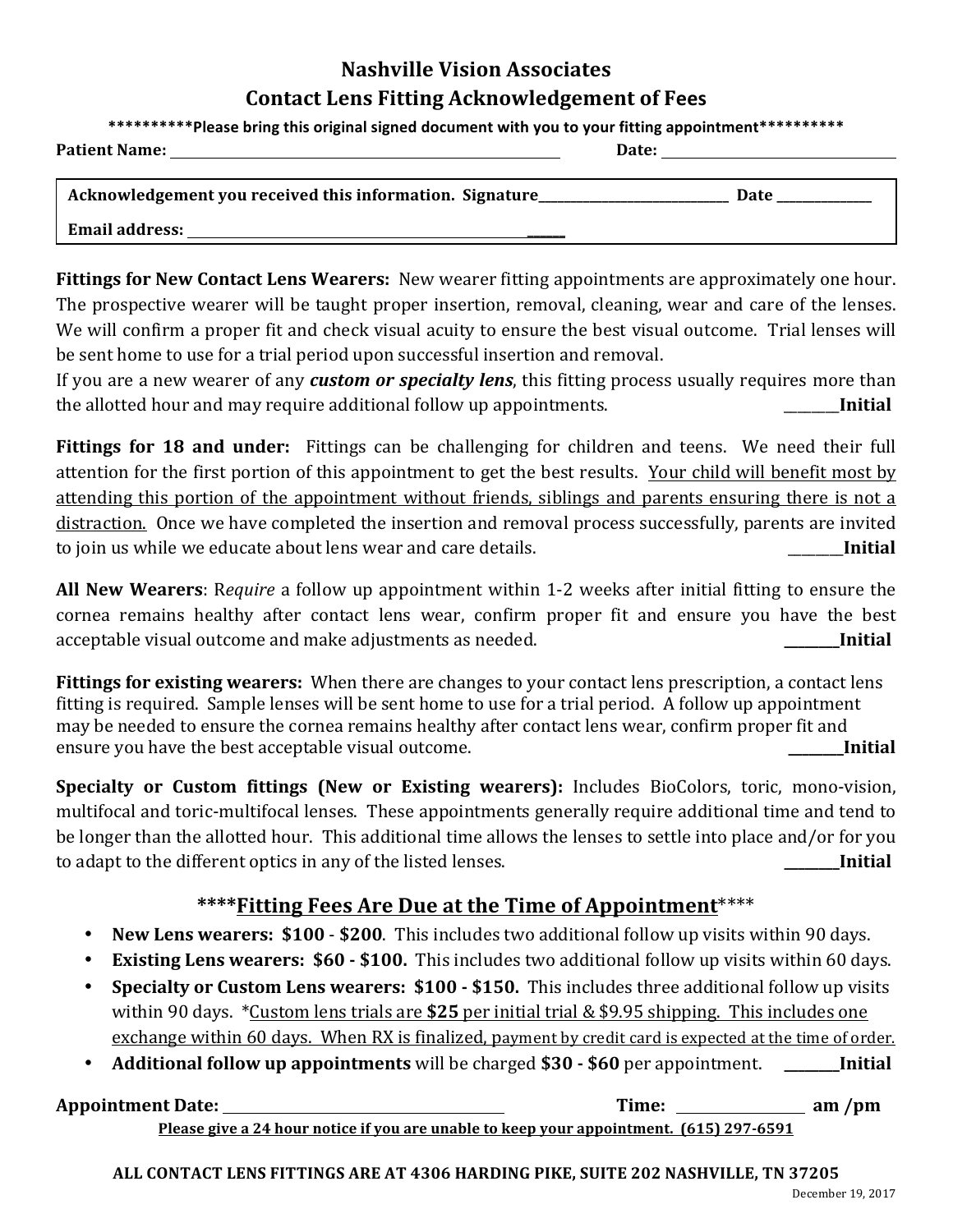# **Nashville Vision Associates Contact Lens Fitting Acknowledgement of Fees**

\*\*\*\*\*\*\*\*\*\*Please bring this original signed document with you to your fitting appointment\*\*\*\*\*\*\*\*\*\*

**Patient Name: Date: Date: Date: Date: Date: Date: Date: Date: Date: Date: Date: Date: Date: Date: Date: Date: Date: Date: Date: Date: Date: Date: Date: Date: Date: Date:** 

| Acknowledgement you received this information. Signature | <b>Date</b> |
|----------------------------------------------------------|-------------|
|                                                          |             |
| <b>Email address:</b>                                    |             |

**Fittings for New Contact Lens Wearers:** New wearer fitting appointments are approximately one hour. The prospective wearer will be taught proper insertion, removal, cleaning, wear and care of the lenses. We will confirm a proper fit and check visual acuity to ensure the best visual outcome. Trial lenses will be sent home to use for a trial period upon successful insertion and removal.

If you are a new wearer of any *custom or specialty lens*, this fitting process usually requires more than the allotted hour and may require additional follow up appointments. \_\_\_\_\_\_\_\_**Initial** 

**Fittings for 18 and under:** Fittings can be challenging for children and teens. We need their full attention for the first portion of this appointment to get the best results. Your child will benefit most by attending this portion of the appointment without friends, siblings and parents ensuring there is not a distraction. Once we have completed the insertion and removal process successfully, parents are invited to join us while we educate about lens wear and care details. **Example 20 and 1 Initial** 

**All New Wearers**: Require a follow up appointment within 1-2 weeks after initial fitting to ensure the cornea remains healthy after contact lens wear, confirm proper fit and ensure you have the best acceptable visual outcome and make adjustments as needed. **Let us a community as a community as a community as a continuum** *nitial nitial nitial* 

**Fittings for existing wearers:** When there are changes to your contact lens prescription, a contact lens fitting is required. Sample lenses will be sent home to use for a trial period. A follow up appointment may be needed to ensure the cornea remains healthy after contact lens wear, confirm proper fit and ensure you have the best acceptable visual outcome. **\_\_\_\_\_\_\_\_Initial**

**Specialty** or Custom fittings (New or Existing wearers): Includes BioColors, toric, mono-vision, multifocal and toric-multifocal lenses. These appointments generally require additional time and tend to be longer than the allotted hour. This additional time allows the lenses to settle into place and/or for you to adapt to the different optics in any of the listed lenses. **\_\_\_\_\_\_\_\_Initial**

## \*\*\*\*Fitting Fees Are Due at the Time of Appointment\*\*\*\*

- **New Lens wearers: \$100 \$200**. This includes two additional follow up visits within 90 days.
- **Existing Lens wearers: \$60 \$100.** This includes two additional follow up visits within 60 days.
- **Specialty or Custom Lens wearers: \$100 \$150.** This includes three additional follow up visits within 90 days. \*Custom lens trials are \$25 per initial trial & \$9.95 shipping. This includes one exchange within 60 days. When RX is finalized, payment by credit card is expected at the time of order.
- **Additional follow up appointments** will be charged **\$30 - \$60** per appointment. **\_\_\_\_\_\_\_\_Initial**

| <b>Appointment Date:</b>                                                                       | Time: | $am$ /pm |
|------------------------------------------------------------------------------------------------|-------|----------|
| <u>Please give a 24 hour notice if you are unable to keep your appointment. (615) 297-6591</u> |       |          |

**ALL CONTACT LENS FITTINGS ARE AT 4306 HARDING PIKE, SUITE 202 NASHVILLE, TN 37205**